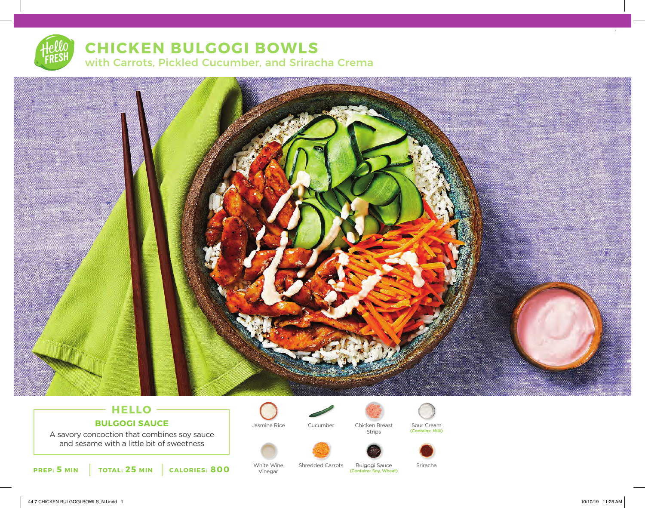# **CHICKEN BULGOGI BOWLS** with Carrots, Pickled Cucumber, and Sriracha Crema



# **HELLO BULGOGI SAUCE**

A savory concoction that combines soy sauce and sesame with a little bit of sweetness



White Wine Vinegar

Bulgogi Sauce Sriracha (Contains: Soy, Wheat) Shredded Carrots

Chicken Breast Strips

Jasmine Rice Sour Cream (Contains: Milk)

Cucumber

7